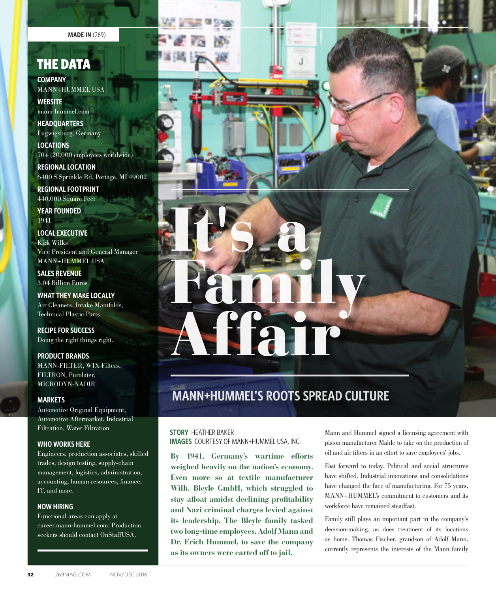**MADE IN** (269)

## THE DATA

**COMPANY** MANN+HUMMEL USA

**WEBSITE** mann-hummel.com

**HEADQUARTERS** Lugwigsburg, Germany

**LOCATIONS** 70+ (20,000 employees worldwide)

**REGIONAL LOCATION** 6400 S Sprinkle Rd, Portage, MI 49002

**REGIONAL FOOTPRINT** 440,000 Square Feet

**YEAR FOUNDED** 1941

**LOCAL EXECUTIVE** Kirk Wilks Vice President and General Manager MANN+HUMMEL USA

**SALES REVENUE** 3.04 Billion Euros

**WHAT THEY MAKE LOCALLY** Air Cleaners, Intake Manifolds, Technical Plastic Parts

**RECIPE FOR SUCCESS** Doing the right things right.

**PRODUCT BRANDS** MANN-FILTER, WIX-Filters, FILTRON, Purolater, MICRODYN-NADIR

#### **MARKETS**

Automotive Original Equipment, Automotive Aftermarket, Industrial Filtration, Water Filtration

### **WHO WORKS HERE**

Engineers, production associates, skilled trades, design testing, supply-chain management, logistics, administration, accounting, human resources, finance, IT, and more.

#### **NOW HIRING**

Functional areas can apply at career.mann-hummel.com. Production seekers should contact OnStaffUSA.



# **MANN+HUMMEL'S ROOTS SPREAD CULTURE**

#### **STORY** HEATHER BAKER **IMAGES** COURTESY OF MANN+HUMMEL USA, INC.

**By 1941, Germany's wartime efforts weighed heavily on the nation's economy. Even more so at textile manufacturer Wilh. Bleyle GmbH, which struggled to stay afloat amidst declining profitability and Nazi criminal charges levied against its leadership. The Bleyle family tasked two long-time employees, Adolf Mann and Dr. Erich Hummel, to save the company as its owners were carted off to jail.** 

Mann and Hummel signed a licensing agreement with piston manufacturer Mahle to take on the production of oil and air filters in an effort to save employees' jobs.

Fast forward to today. Political and social structures have shifted. Industrial innovations and consolidations have changed the face of manufacturing. For 75 years, MANN+HUMMEL's commitment to customers and its workforce have remained steadfast.

Family still plays an important part in the company's decision-making, as does treatment of its locations as home. Thomas Fischer, grandson of Adolf Mann, currently represents the interests of the Mann family